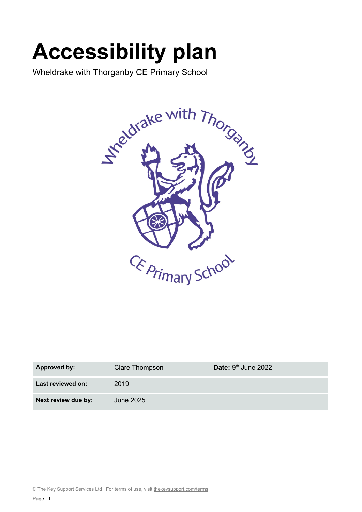# **Accessibility plan**

Wheldrake with Thorganby CE Primary School



| <b>Approved by:</b> | Clare Thompson | Date: $9th$ June 2022 |
|---------------------|----------------|-----------------------|
| Last reviewed on:   | 2019           |                       |
| Next review due by: | June 2025      |                       |

© The Key Support Services Ltd | For terms of use, visit [thekeysupport.com/terms](https://thekeysupport.com/terms-of-use)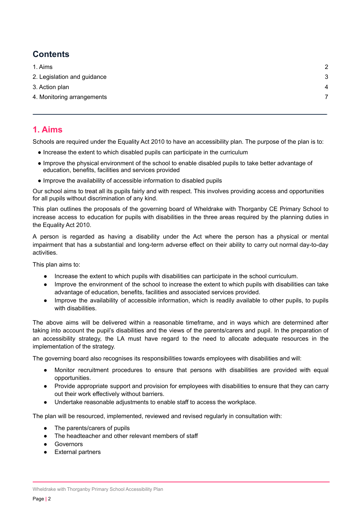### **Contents**

| 1. Aims                     | 2 |
|-----------------------------|---|
| 2. Legislation and guidance | 3 |
| 3. Action plan              | 4 |
| 4. Monitoring arrangements  |   |
|                             |   |

#### <span id="page-1-0"></span>**1. Aims**

Schools are required under the Equality Act 2010 to have an accessibility plan. The purpose of the plan is to:

- Increase the extent to which disabled pupils can participate in the curriculum
- Improve the physical environment of the school to enable disabled pupils to take better advantage of education, benefits, facilities and services provided
- Improve the availability of accessible information to disabled pupils

Our school aims to treat all its pupils fairly and with respect. This involves providing access and opportunities for all pupils without discrimination of any kind.

This plan outlines the proposals of the governing board of Wheldrake with Thorganby CE Primary School to increase access to education for pupils with disabilities in the three areas required by the planning duties in the Equality Act 2010.

A person is regarded as having a disability under the Act where the person has a physical or mental impairment that has a substantial and long-term adverse effect on their ability to carry out normal day-to-day activities.

This plan aims to:

- Increase the extent to which pupils with disabilities can participate in the school curriculum.
- Improve the environment of the school to increase the extent to which pupils with disabilities can take advantage of education, benefits, facilities and associated services provided.
- Improve the availability of accessible information, which is readily available to other pupils, to pupils with disabilities.

The above aims will be delivered within a reasonable timeframe, and in ways which are determined after taking into account the pupil's disabilities and the views of the parents/carers and pupil. In the preparation of an accessibility strategy, the LA must have regard to the need to allocate adequate resources in the implementation of the strategy.

The governing board also recognises its responsibilities towards employees with disabilities and will:

- Monitor recruitment procedures to ensure that persons with disabilities are provided with equal opportunities.
- Provide appropriate support and provision for employees with disabilities to ensure that they can carry out their work effectively without barriers.
- Undertake reasonable adjustments to enable staff to access the workplace.

The plan will be resourced, implemented, reviewed and revised regularly in consultation with:

- The parents/carers of pupils
- The headteacher and other relevant members of staff
- Governors
- External partners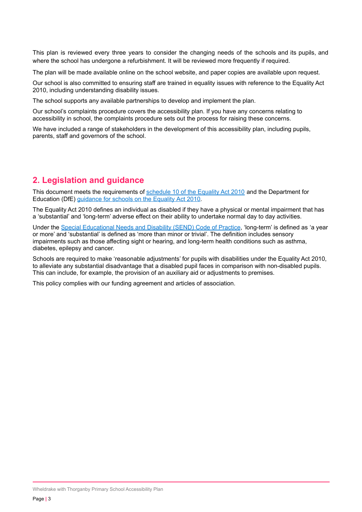This plan is reviewed every three years to consider the changing needs of the schools and its pupils, and where the school has undergone a refurbishment. It will be reviewed more frequently if required.

The plan will be made available online on the school website, and paper copies are available upon request.

Our school is also committed to ensuring staff are trained in equality issues with reference to the Equality Act 2010, including understanding disability issues.

The school supports any available partnerships to develop and implement the plan.

Our school's complaints procedure covers the accessibility plan. If you have any concerns relating to accessibility in school, the complaints procedure sets out the process for raising these concerns.

We have included a range of stakeholders in the development of this accessibility plan, including pupils, parents, staff and governors of the school.

#### <span id="page-2-0"></span>**2. Legislation and guidance**

This document meets the requirements of [schedule](http://www.legislation.gov.uk/ukpga/2010/15/schedule/10) 10 of the Equality Act 2010 and the Department for Education (DfE) [guidance](https://www.gov.uk/government/publications/equality-act-2010-advice-for-schools) for schools on the Equality Act 2010.

The Equality Act 2010 defines an individual as disabled if they have a physical or mental impairment that has a 'substantial' and 'long-term' adverse effect on their ability to undertake normal day to day activities.

Under the Special [Educational](https://www.gov.uk/government/publications/send-code-of-practice-0-to-25) Needs and Disability (SEND) Code of Practice, 'long-term' is defined as 'a year or more' and 'substantial' is defined as 'more than minor or trivial'. The definition includes sensory impairments such as those affecting sight or hearing, and long-term health conditions such as asthma, diabetes, epilepsy and cancer.

Schools are required to make 'reasonable adjustments' for pupils with disabilities under the Equality Act 2010, to alleviate any substantial disadvantage that a disabled pupil faces in comparison with non-disabled pupils. This can include, for example, the provision of an auxiliary aid or adjustments to premises.

This policy complies with our funding agreement and articles of association.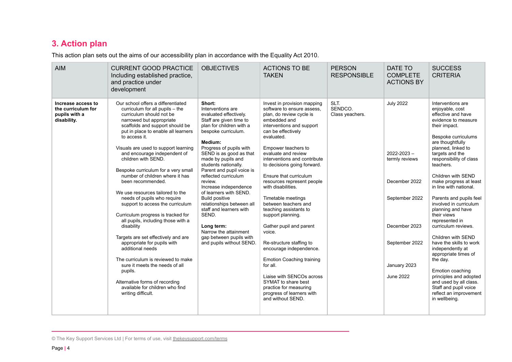## **3. Action plan**

This action plan sets out the aims of our accessibility plan in accordance with the Equality Act 2010.

| <b>AIM</b>                                                               | <b>CURRENT GOOD PRACTICE</b><br>Including established practice,<br>and practice under<br>development                                                                                                                                                                                                                                                                                                                                                                                                                                                                                                                                                                                                                                                                                                                                                                                            | <b>OBJECTIVES</b>                                                                                                                                                                                                                                                                                                                                                                                                                                                                                                                                             | <b>ACTIONS TO BE</b><br><b>TAKEN</b>                                                                                                                                                                                                                                                                                                                                                                                                                                                                                                                                                                                                                                                                                                       | <b>PERSON</b><br><b>RESPONSIBLE</b> | DATE TO<br><b>COMPLETE</b><br><b>ACTIONS BY</b>                                                                                                                 | <b>SUCCESS</b><br><b>CRITERIA</b>                                                                                                                                                                                                                                                                                                                                                                                                                                                                                                                                                                                                                                                               |
|--------------------------------------------------------------------------|-------------------------------------------------------------------------------------------------------------------------------------------------------------------------------------------------------------------------------------------------------------------------------------------------------------------------------------------------------------------------------------------------------------------------------------------------------------------------------------------------------------------------------------------------------------------------------------------------------------------------------------------------------------------------------------------------------------------------------------------------------------------------------------------------------------------------------------------------------------------------------------------------|---------------------------------------------------------------------------------------------------------------------------------------------------------------------------------------------------------------------------------------------------------------------------------------------------------------------------------------------------------------------------------------------------------------------------------------------------------------------------------------------------------------------------------------------------------------|--------------------------------------------------------------------------------------------------------------------------------------------------------------------------------------------------------------------------------------------------------------------------------------------------------------------------------------------------------------------------------------------------------------------------------------------------------------------------------------------------------------------------------------------------------------------------------------------------------------------------------------------------------------------------------------------------------------------------------------------|-------------------------------------|-----------------------------------------------------------------------------------------------------------------------------------------------------------------|-------------------------------------------------------------------------------------------------------------------------------------------------------------------------------------------------------------------------------------------------------------------------------------------------------------------------------------------------------------------------------------------------------------------------------------------------------------------------------------------------------------------------------------------------------------------------------------------------------------------------------------------------------------------------------------------------|
| Increase access to<br>the curriculum for<br>pupils with a<br>disability. | Our school offers a differentiated<br>curriculum for all pupils - the<br>curriculum should not be<br>narrowed but appropriate<br>scaffolds and support should be<br>put in place to enable all learners<br>to access it.<br>Visuals are used to support learning<br>and encourage independent of<br>children with SEND.<br>Bespoke curriculum for a very small<br>number of children where it has<br>been recommended.<br>We use resources tailored to the<br>needs of pupils who require<br>support to access the curriculum<br>Curriculum progress is tracked for<br>all pupils, including those with a<br>disability<br>Targets are set effectively and are<br>appropriate for pupils with<br>additional needs<br>The curriculum is reviewed to make<br>sure it meets the needs of all<br>pupils.<br>Alternative forms of recording<br>available for children who find<br>writing difficult. | Short:<br>Interventions are<br>evaluated effectively.<br>Staff are given time to<br>plan for children with a<br>bespoke curriculum.<br>Medium:<br>Progress of pupils with<br>SEND is as good as that<br>made by pupils and<br>students nationally.<br>Parent and pupil voice is<br>reflected curriculum<br>review.<br>Increase independence<br>of learners with SEND.<br><b>Build positive</b><br>relationships between all<br>staff and learners with<br>SEND.<br>Long term:<br>Narrow the attainment<br>gap between pupils with<br>and pupils without SEND. | Invest in provision mapping<br>software to ensure assess.<br>plan, do review cycle is<br>embedded and<br>interventions and support<br>can be effectively<br>evaluated.<br>Empower teachers to<br>evaluate and review<br>interventions and contribute<br>to decisions going forward.<br>Ensure that curriculum<br>resources represent people<br>with disabilities.<br>Timetable meetings<br>between teachers and<br>teaching assistants to<br>support planning.<br>Gather pupil and parent<br>voice.<br>Re-structure staffing to<br>encourage independence.<br><b>Emotion Coaching training</b><br>for all.<br>Liaise with SENCOs across<br>SYMAT to share best<br>practice for measuring<br>progress of learners with<br>and without SEND. | SLT.<br>SENDCO.<br>Class yeachers.  | <b>July 2022</b><br>$2022 - 2023 -$<br>termly reviews<br>December 2022<br>September 2022<br>December 2023<br>September 2022<br>January 2023<br><b>June 2022</b> | Interventions are<br>enjoyable, cost<br>effective and have<br>evidence to measure<br>their impact.<br>Bespoke curriculums<br>are thoughtfully<br>planned, linked to<br>targets and the<br>responsibility of class<br>teachers.<br>Children with SEND<br>make progress at least<br>in line with national.<br>Parents and pupils feel<br>involved in curriculum<br>planning and have<br>their views<br>represented in<br>curriculum reviews.<br>Children with SEND<br>have the skills to work<br>independently at<br>appropriate times of<br>the day.<br>Emotion coaching<br>principles and adopted<br>and used by all class.<br>Staff and pupil voice<br>reflect an improvement<br>in wellbeing. |

<sup>©</sup> The Key Support Services Ltd | For terms of use, visit [thekeysupport.com/terms](https://thekeysupport.com/terms-of-use)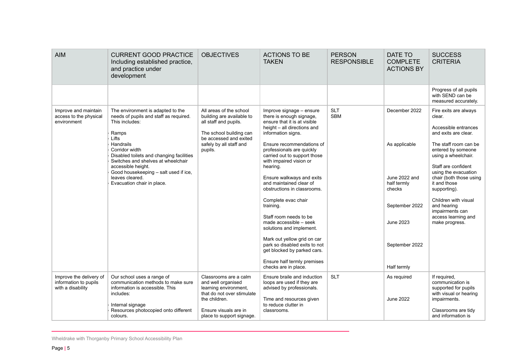| <b>AIM</b>                                                                                         | <b>CURRENT GOOD PRACTICE</b><br>Including established practice,<br>and practice under<br>development                                                                         | <b>OBJECTIVES</b>                                                                                                                                                        | <b>ACTIONS TO BE</b><br><b>TAKEN</b>                                                                                                                      | <b>PERSON</b><br><b>RESPONSIBLE</b> | DATE TO<br><b>COMPLETE</b><br><b>ACTIONS BY</b> | <b>SUCCESS</b><br><b>CRITERIA</b>                                                                                                               |
|----------------------------------------------------------------------------------------------------|------------------------------------------------------------------------------------------------------------------------------------------------------------------------------|--------------------------------------------------------------------------------------------------------------------------------------------------------------------------|-----------------------------------------------------------------------------------------------------------------------------------------------------------|-------------------------------------|-------------------------------------------------|-------------------------------------------------------------------------------------------------------------------------------------------------|
|                                                                                                    |                                                                                                                                                                              |                                                                                                                                                                          |                                                                                                                                                           |                                     |                                                 | Progress of all pupils<br>with SEND can be<br>measured accurately.                                                                              |
| Improve and maintain<br>access to the physical<br>environment                                      | The environment is adapted to the<br>needs of pupils and staff as required.<br>This includes:<br>Ramps<br>Lifts                                                              | All areas of the school<br>building are available to<br>all staff and pupils.<br>The school building can<br>be accessed and exited<br>safely by all staff and<br>pupils. | Improve signage - ensure<br>there is enough signage,<br>ensure that it is at visible<br>height - all directions and<br>information signs.                 | <b>SLT</b><br><b>SBM</b>            | December 2022                                   | Fire exits are always<br>clear.<br>Accessible entrances<br>and exits are clear.                                                                 |
| Handrails<br>Corridor width<br>accessible height.<br>leaves cleared.<br>Evacuation chair in place. | Disabled toilets and changing facilities<br>Switches and shelves at wheelchair                                                                                               |                                                                                                                                                                          | Ensure recommendations of<br>professionals are quickly<br>carried out to support those<br>with impaired vision or<br>hearing.                             |                                     | As applicable                                   | The staff room can be<br>entered by someone<br>using a wheelchair.<br>Staff are confident                                                       |
|                                                                                                    | Good housekeeping - salt used if ice,                                                                                                                                        |                                                                                                                                                                          | Ensure walkways and exits<br>and maintained clear of<br>obstructions in classrooms.                                                                       |                                     | June 2022 and<br>half termly<br>checks          | using the evacuation<br>chair (both those using<br>it and those<br>supporting).                                                                 |
|                                                                                                    |                                                                                                                                                                              |                                                                                                                                                                          | Complete evac chair<br>training.                                                                                                                          |                                     | September 2022                                  | Children with visual<br>and hearing<br>impairments can                                                                                          |
|                                                                                                    |                                                                                                                                                                              |                                                                                                                                                                          | Staff room needs to be<br>made accessible - seek<br>solutions and implement.                                                                              |                                     | June 2023                                       | access learning and<br>make progress.                                                                                                           |
|                                                                                                    |                                                                                                                                                                              |                                                                                                                                                                          | Mark out yellow grid on car<br>park so disabled exits to not<br>get blocked by parked cars.                                                               |                                     | September 2022                                  |                                                                                                                                                 |
|                                                                                                    |                                                                                                                                                                              |                                                                                                                                                                          | Ensure half termly premises<br>checks are in place.                                                                                                       |                                     | Half termly                                     |                                                                                                                                                 |
| Improve the delivery of<br>information to pupils<br>with a disability                              | Our school uses a range of<br>communication methods to make sure<br>information is accessible. This<br>includes:<br>Internal signage<br>Resources photocopied onto different | Classrooms are a calm<br>and well organised<br>learning environment,<br>that do not over stimulate<br>the children.<br>Ensure visuals are in                             | Ensure braile and induction<br>loops are used if they are<br>advised by professionals.<br>Time and resources given<br>to reduce clutter in<br>classrooms. | <b>SLT</b>                          | As required<br>June 2022                        | If required,<br>communication is<br>supported for pupils<br>with visual or hearing<br>impairments.<br>Classrooms are tidy<br>and information is |

Wheldrake with Thorganby Primary School Accessibility Plan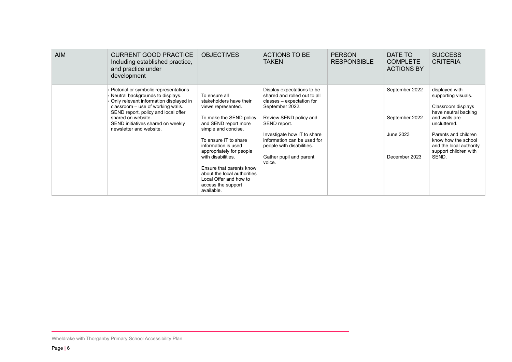| <b>AIM</b> | <b>CURRENT GOOD PRACTICE</b><br>Including established practice,<br>and practice under<br>development                                                                                                                                                                                  | <b>OBJECTIVES</b>                                                                                                                                                                                                                                                                                                                                                   | ACTIONS TO BE<br><b>TAKEN</b>                                                                                                                                                                                                                                                        | <b>PERSON</b><br><b>RESPONSIBLE</b> | DATE TO<br><b>COMPLETE</b><br><b>ACTIONS BY</b>                | <b>SUCCESS</b><br><b>CRITERIA</b>                                                                                                                                                                                                |
|------------|---------------------------------------------------------------------------------------------------------------------------------------------------------------------------------------------------------------------------------------------------------------------------------------|---------------------------------------------------------------------------------------------------------------------------------------------------------------------------------------------------------------------------------------------------------------------------------------------------------------------------------------------------------------------|--------------------------------------------------------------------------------------------------------------------------------------------------------------------------------------------------------------------------------------------------------------------------------------|-------------------------------------|----------------------------------------------------------------|----------------------------------------------------------------------------------------------------------------------------------------------------------------------------------------------------------------------------------|
|            | Pictorial or symbolic representations<br>Neutral backgrounds to displays.<br>Only relevant information displayed in<br>classroom – use of working walls.<br>SEND report, policy and local offer<br>shared on website.<br>SEND initiatives shared on weekly<br>newsletter and website. | To ensure all<br>stakeholders have their<br>views represented.<br>To make the SEND policy<br>and SEND report more<br>simple and concise.<br>To ensure IT to share<br>information is used<br>appropriately for people<br>with disabilities.<br>Ensure that parents know<br>about the local authorities<br>Local Offer and how to<br>access the support<br>available. | Display expectations to be<br>shared and rolled out to all<br>classes - expectation for<br>September 2022.<br>Review SEND policy and<br>SEND report.<br>Investigate how IT to share<br>information can be used for<br>people with disabilities.<br>Gather pupil and parent<br>voice. |                                     | September 2022<br>September 2022<br>June 2023<br>December 2023 | displayed with<br>supporting visuals.<br>Classroom displays<br>have neutral backing<br>and walls are<br>uncluttered.<br>Parents and children<br>know how the school<br>and the local authority<br>support children with<br>SEND. |

Wheldrake with Thorganby Primary School Accessibility Plan